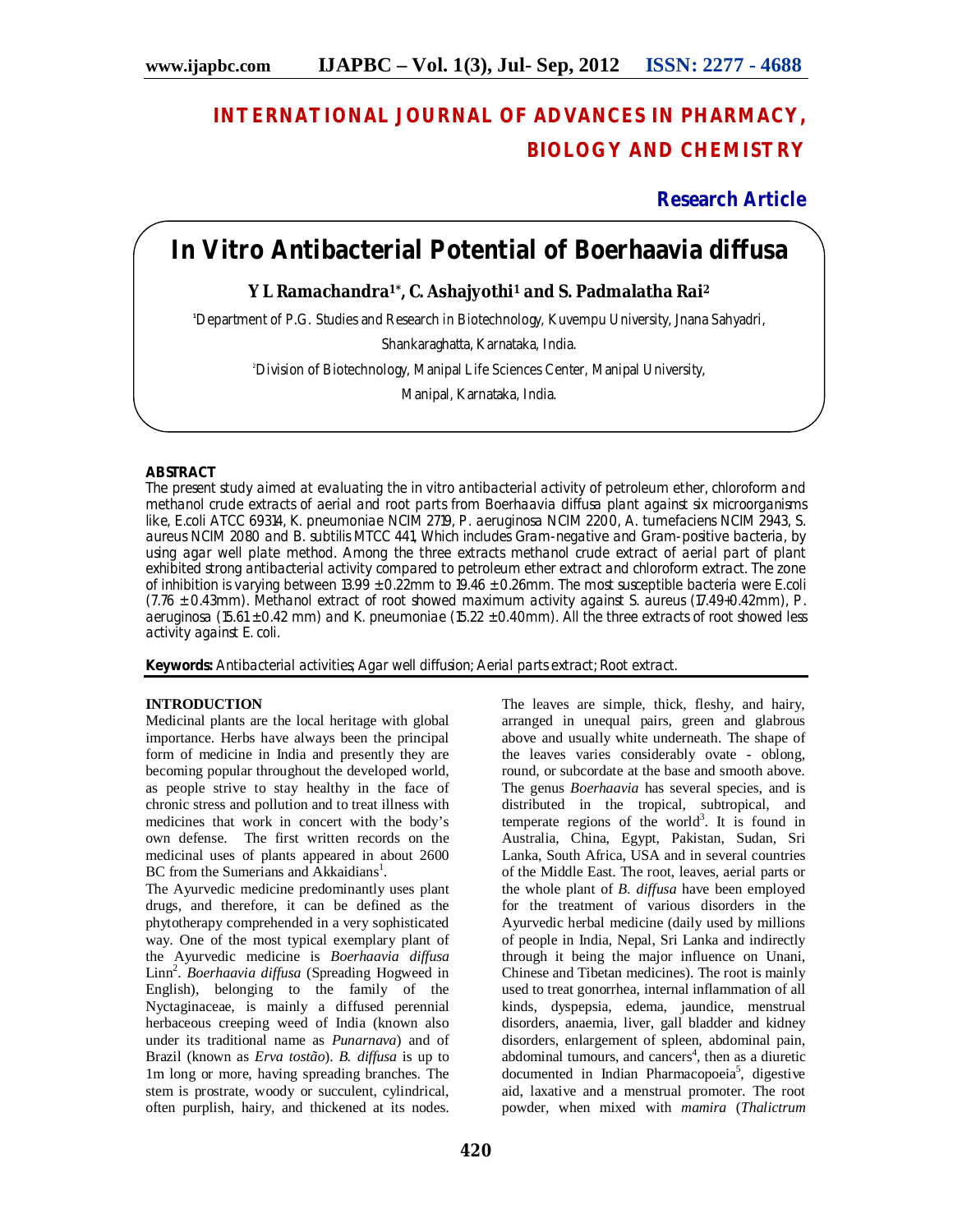# **INTERNATIONAL JOURNAL OF ADVANCES IN PHARMACY, BIOLOGY AND CHEMISTRY**

**Research Article**

## *In Vitro* **Antibacterial Potential of** *Boerhaavia diffusa*

## **Y L Ramachandra1\*, C. Ashajyothi<sup>1</sup> and S. Padmalatha Rai<sup>2</sup>**

**<sup>1</sup>**Department of P.G. Studies and Research in Biotechnology, Kuvempu University, Jnana Sahyadri,

Shankaraghatta, Karnataka, India.

<sup>2</sup>Division of Biotechnology, Manipal Life Sciences Center, Manipal University,

Manipal, Karnataka, India.

## **ABSTRACT**

The present study aimed at evaluating the *in vitro* antibacterial activity of petroleum ether, chloroform and methanol crude extracts of aerial and root parts from *Boerhaavia diffusa* plant against six microorganisms like, *E*.*coli* ATCC 69314, *K. pneumoniae* NCIM 2719, *P. aeruginosa* NCIM 2200, *A. tumefaciens* NCIM 2943, *S. aureus* NCIM 2080 and *B. subtilis* MTCC 441, Which includes Gram-negative and Gram-positive bacteria, by using agar well plate method. Among the three extracts methanol crude extract of aerial part of plant exhibited strong antibacterial activity compared to petroleum ether extract and chloroform extract. The zone of inhibition is varying between  $13.99 \pm 0.22$ mm to 19.46  $\pm$  0.26mm. The most susceptible bacteria were E.coli (7.76 ± 0.43mm). Methanol extract of root showed maximum activity against *S. aureus* (17.49+0.42mm), *P. aeruginosa* (15.61 ± 0.42 mm) and *K. pneumoniae* (15.22 ± 0.40mm). All the three extracts of root showed less activity against *E. coli*.

**Keywords:** Antibacterial activities; Agar well diffusion; Aerial parts extract; Root extract.

## **INTRODUCTION**

Medicinal plants are the local heritage with global importance. Herbs have always been the principal form of medicine in India and presently they are becoming popular throughout the developed world, as people strive to stay healthy in the face of chronic stress and pollution and to treat illness with medicines that work in concert with the body's own defense. The first written records on the medicinal uses of plants appeared in about 2600 BC from the Sumerians and Akkaidians<sup>1</sup>.

The Ayurvedic medicine predominantly uses plant drugs, and therefore, it can be defined as the phytotherapy comprehended in a very sophisticated way. One of the most typical exemplary plant of the Ayurvedic medicine is *Boerhaavia diffusa*  Linn<sup>2</sup>. *Boerhaavia diffusa* (Spreading Hogweed in English), belonging to the family of the Nyctaginaceae, is mainly a diffused perennial herbaceous creeping weed of India (known also under its traditional name as *Punarnava*) and of Brazil (known as *Erva tostão*). *B. diffusa* is up to 1m long or more, having spreading branches. The stem is prostrate, woody or succulent, cylindrical, often purplish, hairy, and thickened at its nodes.

The leaves are simple, thick, fleshy, and hairy, arranged in unequal pairs, green and glabrous above and usually white underneath. The shape of the leaves varies considerably ovate - oblong, round, or subcordate at the base and smooth above. The genus *Boerhaavia* has several species, and is distributed in the tropical, subtropical, and temperate regions of the world<sup>3</sup>. It is found in Australia, China, Egypt, Pakistan, Sudan, Sri Lanka, South Africa, USA and in several countries of the Middle East. The root, leaves, aerial parts or the whole plant of *B. diffusa* have been employed for the treatment of various disorders in the Ayurvedic herbal medicine (daily used by millions of people in India, Nepal, Sri Lanka and indirectly through it being the major influence on Unani, Chinese and Tibetan medicines). The root is mainly used to treat gonorrhea, internal inflammation of all kinds, dyspepsia, edema, jaundice, menstrual disorders, anaemia, liver, gall bladder and kidney disorders, enlargement of spleen, abdominal pain, abdominal tumours, and cancers<sup>4</sup>, then as a diuretic documented in Indian Pharmacopoeia<sup>5</sup>, digestive aid, laxative and a menstrual promoter. The root powder, when mixed with *mamira* (*Thalictrum*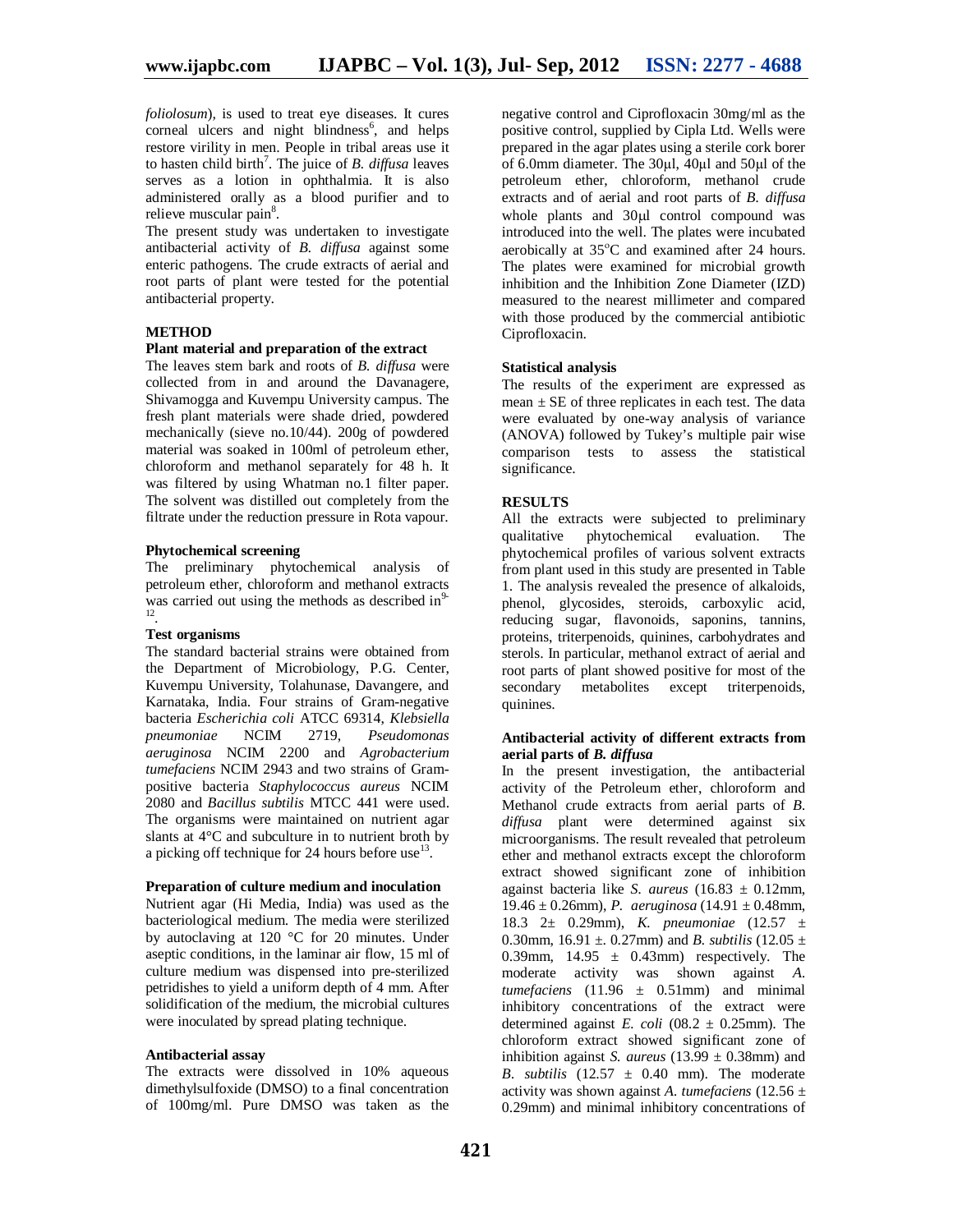*foliolosum*)*,* is used to treat eye diseases. It cures corneal ulcers and night blindness<sup>6</sup>, and helps restore virility in men. People in tribal areas use it to hasten child birth<sup>7</sup>. The juice of *B. diffusa* leaves serves as a lotion in ophthalmia. It is also administered orally as a blood purifier and to relieve muscular pain<sup>8</sup>.

The present study was undertaken to investigate antibacterial activity of *B. diffusa* against some enteric pathogens. The crude extracts of aerial and root parts of plant were tested for the potential antibacterial property.

## **METHOD**

#### **Plant material and preparation of the extract**

The leaves stem bark and roots of *B. diffusa* were collected from in and around the Davanagere, Shivamogga and Kuvempu University campus. The fresh plant materials were shade dried, powdered mechanically (sieve no.10/44). 200g of powdered material was soaked in 100ml of petroleum ether, chloroform and methanol separately for 48 h. It was filtered by using Whatman no.1 filter paper. The solvent was distilled out completely from the filtrate under the reduction pressure in Rota vapour.

#### **Phytochemical screening**

The preliminary phytochemical analysis of petroleum ether, chloroform and methanol extracts was carried out using the methods as described in $\frac{12}{12}$ .

### **Test organisms**

The standard bacterial strains were obtained from the Department of Microbiology, P.G. Center, Kuvempu University, Tolahunase, Davangere, and Karnataka, India. Four strains of Gram-negative bacteria *Escherichia coli* ATCC 69314, *Klebsiella pneumoniae* NCIM 2719, *Pseudomonas aeruginosa* NCIM 2200 and *Agrobacterium tumefaciens* NCIM 2943 and two strains of Grampositive bacteria *Staphylococcus aureus* NCIM 2080 and *Bacillus subtilis* MTCC 441 were used. The organisms were maintained on nutrient agar slants at 4°C and subculture in to nutrient broth by a picking off technique for 24 hours before use  $13$ .

#### **Preparation of culture medium and inoculation**

Nutrient agar (Hi Media, India) was used as the bacteriological medium. The media were sterilized by autoclaving at 120 °C for 20 minutes. Under aseptic conditions, in the laminar air flow, 15 ml of culture medium was dispensed into pre-sterilized petridishes to yield a uniform depth of 4 mm. After solidification of the medium, the microbial cultures were inoculated by spread plating technique.

#### **Antibacterial assay**

The extracts were dissolved in 10% aqueous dimethylsulfoxide (DMSO) to a final concentration of 100mg/ml. Pure DMSO was taken as the negative control and Ciprofloxacin 30mg/ml as the positive control, supplied by Cipla Ltd. Wells were prepared in the agar plates using a sterile cork borer of 6.0mm diameter. The 30µl, 40µl and 50µl of the petroleum ether, chloroform, methanol crude extracts and of aerial and root parts of *B. diffusa* whole plants and  $30\mu l$  control compound was introduced into the well. The plates were incubated aerobically at 35°C and examined after 24 hours. The plates were examined for microbial growth inhibition and the Inhibition Zone Diameter (IZD) measured to the nearest millimeter and compared with those produced by the commercial antibiotic Ciprofloxacin.

## **Statistical analysis**

The results of the experiment are expressed as mean  $\pm$  SE of three replicates in each test. The data were evaluated by one-way analysis of variance (ANOVA) followed by Tukey's multiple pair wise comparison tests to assess the statistical significance.

#### **RESULTS**

All the extracts were subjected to preliminary qualitative phytochemical evaluation. The phytochemical profiles of various solvent extracts from plant used in this study are presented in Table 1. The analysis revealed the presence of alkaloids, phenol, glycosides, steroids, carboxylic acid, reducing sugar, flavonoids, saponins, tannins, proteins, triterpenoids, quinines, carbohydrates and sterols. In particular, methanol extract of aerial and root parts of plant showed positive for most of the secondary metabolites except triterpenoids, quinines.

#### **Antibacterial activity of different extracts from aerial parts of** *B. diffusa*

In the present investigation, the antibacterial activity of the Petroleum ether, chloroform and Methanol crude extracts from aerial parts of *B. diffusa* plant were determined against six microorganisms. The result revealed that petroleum ether and methanol extracts except the chloroform extract showed significant zone of inhibition against bacteria like *S. aureus*  $(16.83 \pm 0.12 \text{mm})$ , 19.46 ± 0.26mm), *P. aeruginosa* (14.91 ± 0.48mm, 18.3 2± 0.29mm), *K. pneumoniae* (12.57 ± 0.30mm,  $16.91 \pm$ . 0.27mm) and *B. subtilis*  $(12.05 \pm$ 0.39mm,  $14.95 \pm 0.43$ mm) respectively. The moderate activity was shown against *A. tumefaciens*  $(11.96 \pm 0.51$ mm) and minimal inhibitory concentrations of the extract were determined against *E. coli* (08.2  $\pm$  0.25mm). The chloroform extract showed significant zone of inhibition against *S. aureus* (13.99  $\pm$  0.38mm) and *B. subtilis*  $(12.57 \pm 0.40 \text{ mm})$ . The moderate activity was shown against *A. tumefaciens* (12.56 ± 0.29mm) and minimal inhibitory concentrations of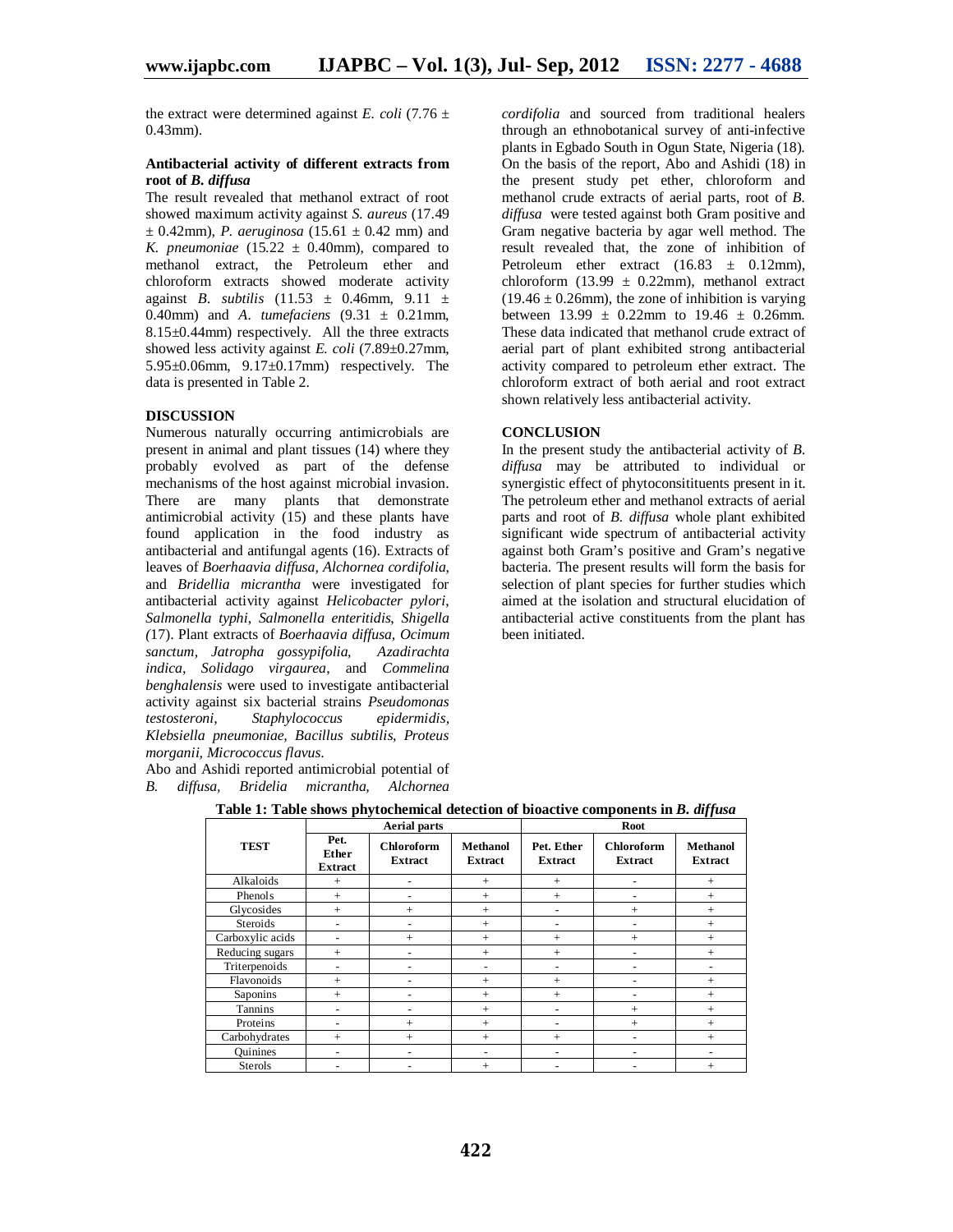the extract were determined against *E. coli* (7.76  $\pm$ 0.43mm).

#### **Antibacterial activity of different extracts from root of** *B. diffusa*

The result revealed that methanol extract of root showed maximum activity against *S. aureus* (17.49  $\pm$  0.42mm), *P. aeruginosa* (15.61  $\pm$  0.42 mm) and *K. pneumoniae*  $(15.22 \pm 0.40$ mm), compared to methanol extract, the Petroleum ether and chloroform extracts showed moderate activity against *B. subtilis* (11.53 ± 0.46mm, 9.11 ± 0.40mm) and *A. tumefaciens* (9.31 ± 0.21mm, 8.15±0.44mm) respectively. All the three extracts showed less activity against *E. coli* (7.89±0.27mm,  $5.95\pm0.06$ mm,  $9.17\pm0.17$ mm) respectively. The data is presented in Table 2.

## **DISCUSSION**

Numerous naturally occurring antimicrobials are present in animal and plant tissues (14) where they probably evolved as part of the defense mechanisms of the host against microbial invasion. There are many plants that demonstrate antimicrobial activity (15) and these plants have found application in the food industry as antibacterial and antifungal agents (16). Extracts of leaves of *Boerhaavia diffusa, Alchornea cordifolia*, and *Bridellia micrantha* were investigated for antibacterial activity against *Helicobacter pylori*, *Salmonella typhi*, *Salmonella enteritidis*, *Shigella (*17). Plant extracts of *Boerhaavia diffusa, Ocimum sanctum, Jatropha gossypifolia, Azadirachta indica, Solidago virgaurea*, and *Commelina benghalensis* were used to investigate antibacterial activity against six bacterial strains *Pseudomonas testosteroni, Staphylococcus epidermidis, Klebsiella pneumoniae, Bacillus subtilis, Proteus morganii, Micrococcus flavus*.

Abo and Ashidi reported antimicrobial potential of *B. diffusa, Bridelia micrantha, Alchornea* 

*cordifolia* and sourced from traditional healers through an ethnobotanical survey of anti-infective plants in Egbado South in Ogun State, Nigeria (18). On the basis of the report, Abo and Ashidi (18) in the present study pet ether, chloroform and methanol crude extracts of aerial parts, root of *B. diffusa* were tested against both Gram positive and Gram negative bacteria by agar well method. The result revealed that, the zone of inhibition of Petroleum ether extract  $(16.83 \pm 0.12 \text{mm})$ , chloroform (13.99  $\pm$  0.22mm), methanol extract  $(19.46 \pm 0.26$ mm), the zone of inhibition is varying between  $13.99 \pm 0.22$ mm to  $19.46 \pm 0.26$ mm. These data indicated that methanol crude extract of aerial part of plant exhibited strong antibacterial activity compared to petroleum ether extract. The chloroform extract of both aerial and root extract shown relatively less antibacterial activity.

### **CONCLUSION**

In the present study the antibacterial activity of *B. diffusa* may be attributed to individual or synergistic effect of phytoconsitituents present in it. The petroleum ether and methanol extracts of aerial parts and root of *B. diffusa* whole plant exhibited significant wide spectrum of antibacterial activity against both Gram's positive and Gram's negative bacteria. The present results will form the basis for selection of plant species for further studies which aimed at the isolation and structural elucidation of antibacterial active constituents from the plant has been initiated.

|                  |                                 | <b>Aerial parts</b>                 |                            | Root                         |                                     |                          |  |
|------------------|---------------------------------|-------------------------------------|----------------------------|------------------------------|-------------------------------------|--------------------------|--|
| <b>TEST</b>      | Pet.<br>Ether<br><b>Extract</b> | <b>Chloroform</b><br><b>Extract</b> | Methanol<br><b>Extract</b> | Pet. Ether<br><b>Extract</b> | <b>Chloroform</b><br><b>Extract</b> | Methanol<br>Extract      |  |
| Alkaloids        | $+$                             |                                     | $+$                        | $+$                          |                                     | $^{+}$                   |  |
| Phenols          | $^{+}$                          |                                     | $+$                        | $^{+}$                       |                                     | $^{+}$                   |  |
| Glycosides       | $+$                             | $^{+}$                              | $^{+}$                     | $\overline{\phantom{0}}$     | $^{+}$                              | $+$                      |  |
| Steroids         |                                 |                                     | $^{+}$                     |                              |                                     | $^{+}$                   |  |
| Carboxylic acids |                                 | $^{+}$                              | $^{+}$                     | $^{+}$                       | $^{+}$                              | $^{+}$                   |  |
| Reducing sugars  | $^{+}$                          |                                     | $^{+}$                     | $^{+}$                       |                                     | $^{+}$                   |  |
| Triterpenoids    |                                 |                                     | ٠                          | ۰                            |                                     |                          |  |
| Flavonoids       | $^{+}$                          |                                     | $^+$                       | $^{+}$                       |                                     | $^{+}$                   |  |
| Saponins         | $^{+}$                          |                                     | $^{+}$                     | $^{+}$                       |                                     | $^{+}$                   |  |
| Tannins          |                                 |                                     | $^{+}$                     |                              | $^{+}$                              | $^{+}$                   |  |
| Proteins         |                                 | $^{+}$                              | $^{+}$                     |                              | $^{+}$                              | $+$                      |  |
| Carbohydrates    | $+$                             | $^{+}$                              | $^{+}$                     | $^{+}$                       | ۰                                   | $+$                      |  |
| <b>Ouinines</b>  |                                 | -                                   | $\overline{\phantom{a}}$   | $\overline{\phantom{a}}$     | ۰                                   | $\overline{\phantom{0}}$ |  |
| <b>Sterols</b>   |                                 |                                     | $^+$                       |                              |                                     | $\pm$                    |  |

**Table 1: Table shows phytochemical detection of bioactive components in** *B. diffusa*